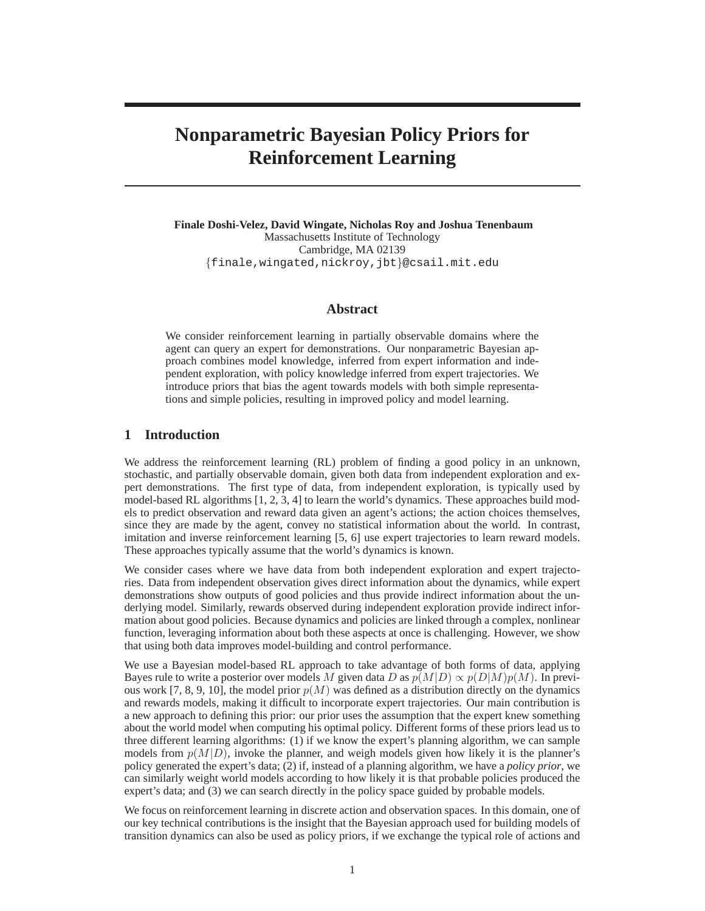# **Nonparametric Bayesian Policy Priors for Reinforcement Learning**

**Finale Doshi-Velez, David Wingate, Nicholas Roy and Joshua Tenenbaum** Massachusetts Institute of Technology Cambridge, MA 02139 {finale,wingated,nickroy,jbt}@csail.mit.edu

## **Abstract**

We consider reinforcement learning in partially observable domains where the agent can query an expert for demonstrations. Our nonparametric Bayesian approach combines model knowledge, inferred from expert information and independent exploration, with policy knowledge inferred from expert trajectories. We introduce priors that bias the agent towards models with both simple representations and simple policies, resulting in improved policy and model learning.

### **1 Introduction**

We address the reinforcement learning (RL) problem of finding a good policy in an unknown, stochastic, and partially observable domain, given both data from independent exploration and expert demonstrations. The first type of data, from independent exploration, is typically used by model-based RL algorithms [1, 2, 3, 4] to learn the world's dynamics. These approaches build models to predict observation and reward data given an agent's actions; the action choices themselves, since they are made by the agent, convey no statistical information about the world. In contrast, imitation and inverse reinforcement learning [5, 6] use expert trajectories to learn reward models. These approaches typically assume that the world's dynamics is known.

We consider cases where we have data from both independent exploration and expert trajectories. Data from independent observation gives direct information about the dynamics, while expert demonstrations show outputs of good policies and thus provide indirect information about the underlying model. Similarly, rewards observed during independent exploration provide indirect information about good policies. Because dynamics and policies are linked through a complex, nonlinear function, leveraging information about both these aspects at once is challenging. However, we show that using both data improves model-building and control performance.

We use a Bayesian model-based RL approach to take advantage of both forms of data, applying Bayes rule to write a posterior over models M given data D as  $p(M|D) \propto p(D|M)p(M)$ . In previous work [7, 8, 9, 10], the model prior  $p(M)$  was defined as a distribution directly on the dynamics and rewards models, making it difficult to incorporate expert trajectories. Our main contribution is a new approach to defining this prior: our prior uses the assumption that the expert knew something about the world model when computing his optimal policy. Different forms of these priors lead us to three different learning algorithms: (1) if we know the expert's planning algorithm, we can sample models from  $p(M|D)$ , invoke the planner, and weigh models given how likely it is the planner's policy generated the expert's data; (2) if, instead of a planning algorithm, we have a *policy prior*, we can similarly weight world models according to how likely it is that probable policies produced the expert's data; and (3) we can search directly in the policy space guided by probable models.

We focus on reinforcement learning in discrete action and observation spaces. In this domain, one of our key technical contributions is the insight that the Bayesian approach used for building models of transition dynamics can also be used as policy priors, if we exchange the typical role of actions and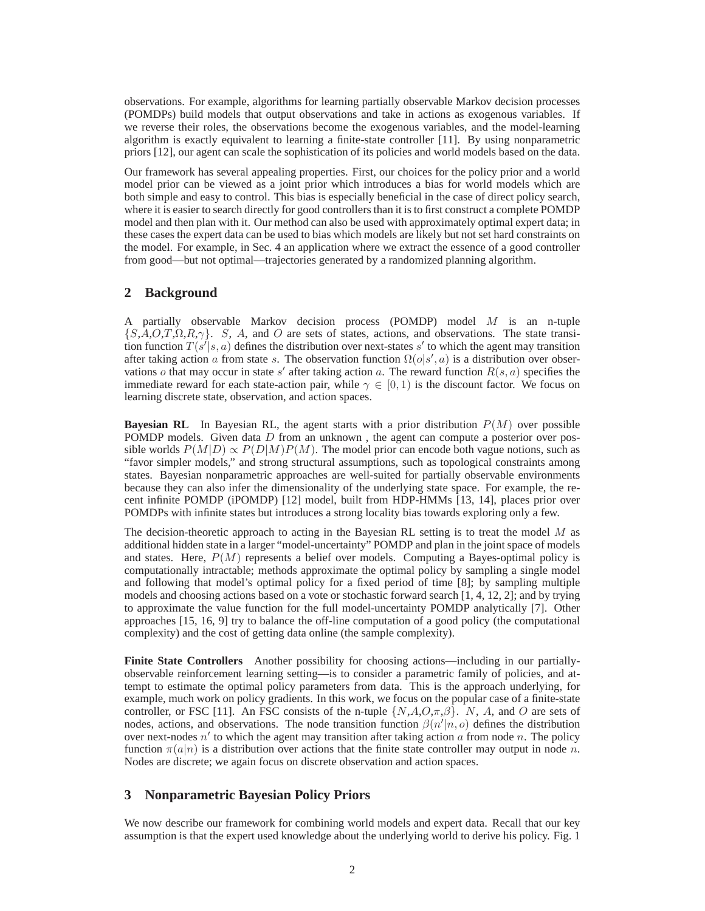observations. For example, algorithms for learning partially observable Markov decision processes (POMDPs) build models that output observations and take in actions as exogenous variables. If we reverse their roles, the observations become the exogenous variables, and the model-learning algorithm is exactly equivalent to learning a finite-state controller [11]. By using nonparametric priors [12], our agent can scale the sophistication of its policies and world models based on the data.

Our framework has several appealing properties. First, our choices for the policy prior and a world model prior can be viewed as a joint prior which introduces a bias for world models which are both simple and easy to control. This bias is especially beneficial in the case of direct policy search, where it is easier to search directly for good controllers than it is to first construct a complete POMDP model and then plan with it. Our method can also be used with approximately optimal expert data; in these cases the expert data can be used to bias which models are likely but not set hard constraints on the model. For example, in Sec. 4 an application where we extract the essence of a good controller from good—but not optimal—trajectories generated by a randomized planning algorithm.

# **2 Background**

A partially observable Markov decision process (POMDP) model M is an n-tuple  ${S, A, O, T, \Omega, R, \gamma}$ . S, A, and O are sets of states, actions, and observations. The state transition function  $T(s'|s, a)$  defines the distribution over next-states s' to which the agent may transition after taking action a from state s. The observation function  $\Omega(o|s', a)$  is a distribution over observations *o* that may occur in state s' after taking action *a*. The reward function  $R(s, a)$  specifies the immediate reward for each state-action pair, while  $\gamma \in [0, 1)$  is the discount factor. We focus on learning discrete state, observation, and action spaces.

**Bayesian RL** In Bayesian RL, the agent starts with a prior distribution  $P(M)$  over possible POMDP models. Given data  $D$  from an unknown, the agent can compute a posterior over possible worlds  $P(M|D) \propto P(D|M)P(M)$ . The model prior can encode both vague notions, such as "favor simpler models," and strong structural assumptions, such as topological constraints among states. Bayesian nonparametric approaches are well-suited for partially observable environments because they can also infer the dimensionality of the underlying state space. For example, the recent infinite POMDP (iPOMDP) [12] model, built from HDP-HMMs [13, 14], places prior over POMDPs with infinite states but introduces a strong locality bias towards exploring only a few.

The decision-theoretic approach to acting in the Bayesian RL setting is to treat the model  $M$  as additional hidden state in a larger "model-uncertainty" POMDP and plan in the joint space of models and states. Here,  $P(M)$  represents a belief over models. Computing a Bayes-optimal policy is computationally intractable; methods approximate the optimal policy by sampling a single model and following that model's optimal policy for a fixed period of time [8]; by sampling multiple models and choosing actions based on a vote or stochastic forward search [1, 4, 12, 2]; and by trying to approximate the value function for the full model-uncertainty POMDP analytically [7]. Other approaches [15, 16, 9] try to balance the off-line computation of a good policy (the computational complexity) and the cost of getting data online (the sample complexity).

**Finite State Controllers** Another possibility for choosing actions—including in our partiallyobservable reinforcement learning setting—is to consider a parametric family of policies, and attempt to estimate the optimal policy parameters from data. This is the approach underlying, for example, much work on policy gradients. In this work, we focus on the popular case of a finite-state controller, or FSC [11]. An FSC consists of the n-tuple  $\{N, A, O, \pi, \beta\}$ . N, A, and O are sets of nodes, actions, and observations. The node transition function  $\beta(n'|n, o)$  defines the distribution over next-nodes n' to which the agent may transition after taking action a from node n. The policy function  $\pi(a|n)$  is a distribution over actions that the finite state controller may output in node n. Nodes are discrete; we again focus on discrete observation and action spaces.

## **3 Nonparametric Bayesian Policy Priors**

We now describe our framework for combining world models and expert data. Recall that our key assumption is that the expert used knowledge about the underlying world to derive his policy. Fig. 1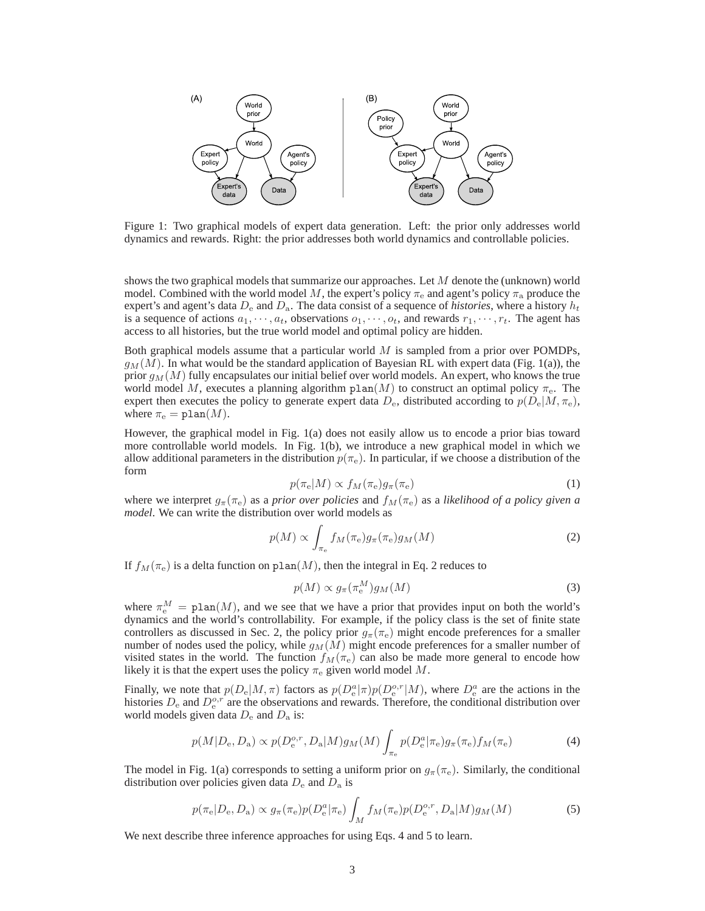

Figure 1: Two graphical models of expert data generation. Left: the prior only addresses world dynamics and rewards. Right: the prior addresses both world dynamics and controllable policies.

shows the two graphical models that summarize our approaches. Let M denote the (unknown) world model. Combined with the world model M, the expert's policy  $\pi_e$  and agent's policy  $\pi_a$  produce the expert's and agent's data  $D_e$  and  $D_a$ . The data consist of a sequence of *histories*, where a history  $h_t$ is a sequence of actions  $a_1, \dots, a_t$ , observations  $o_1, \dots, o_t$ , and rewards  $r_1, \dots, r_t$ . The agent has access to all histories, but the true world model and optimal policy are hidden.

Both graphical models assume that a particular world  $M$  is sampled from a prior over POMDPs,  $g_M(M)$ . In what would be the standard application of Bayesian RL with expert data (Fig. 1(a)), the prior  $g_M(M)$  fully encapsulates our initial belief over world models. An expert, who knows the true world model M, executes a planning algorithm  $plan(M)$  to construct an optimal policy  $\pi_e$ . The expert then executes the policy to generate expert data  $D_e$ , distributed according to  $p(D_e|M, \pi_e)$ , where  $\pi_e = \text{plan}(M)$ .

However, the graphical model in Fig. 1(a) does not easily allow us to encode a prior bias toward more controllable world models. In Fig. 1(b), we introduce a new graphical model in which we allow additional parameters in the distribution  $p(\pi_e)$ . In particular, if we choose a distribution of the form

$$
p(\pi_{\rm e}|M) \propto f_M(\pi_{\rm e})g_\pi(\pi_{\rm e})\tag{1}
$$

where we interpret  $g_{\pi}(\pi_e)$  as a *prior over policies* and  $f_M(\pi_e)$  as a *likelihood of a policy given a model*. We can write the distribution over world models as

$$
p(M) \propto \int_{\pi_e} f_M(\pi_e) g_\pi(\pi_e) g_M(M) \tag{2}
$$

If  $f_M(\pi_e)$  is a delta function on plan(M), then the integral in Eq. 2 reduces to

$$
p(M) \propto g_{\pi}(\pi_{\rm e}^M)g_M(M) \tag{3}
$$

where  $\pi_e^M = \text{plan}(M)$ , and we see that we have a prior that provides input on both the world's dynamics and the world's controllability. For example, if the policy class is the set of finite state controllers as discussed in Sec. 2, the policy prior  $g_{\pi}(\pi_e)$  might encode preferences for a smaller number of nodes used the policy, while  $g_M(M)$  might encode preferences for a smaller number of visited states in the world. The function  $f_M(\pi_e)$  can also be made more general to encode how likely it is that the expert uses the policy  $\pi_e$  given world model M.

Finally, we note that  $p(D_e|M,\pi)$  factors as  $p(D_e^a|\pi)p(D_e^{o,r}|M)$ , where  $D_e^a$  are the actions in the histories  $D_e$  and  $D_e^{o,r}$  are the observations and rewards. Therefore, the conditional distribution over world models given data  $D_e$  and  $D_a$  is:

$$
p(M|D_{\mathbf{e}}, D_{\mathbf{a}}) \propto p(D_{\mathbf{e}}^{o,r}, D_{\mathbf{a}}|M)g_M(M) \int_{\pi_{\mathbf{e}}} p(D_{\mathbf{e}}^a|\pi_{\mathbf{e}})g_{\pi}(\pi_{\mathbf{e}})f_M(\pi_{\mathbf{e}})
$$
(4)

The model in Fig. 1(a) corresponds to setting a uniform prior on  $g_{\pi}(\pi_e)$ . Similarly, the conditional distribution over policies given data  $D_e$  and  $D_a$  is

$$
p(\pi_{\rm e}|D_{\rm e}, D_{\rm a}) \propto g_{\pi}(\pi_{\rm e}) p(D_{\rm e}^{a}|\pi_{\rm e}) \int_{M} f_{M}(\pi_{\rm e}) p(D_{\rm e}^{o,r}, D_{\rm a}|M) g_{M}(M) \tag{5}
$$

We next describe three inference approaches for using Eqs. 4 and 5 to learn.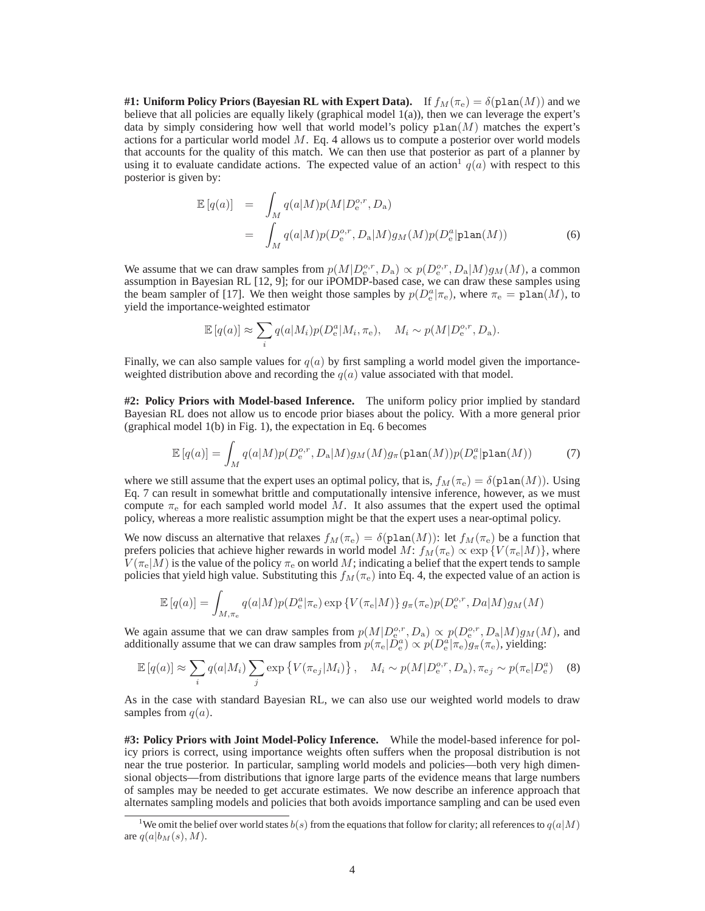**#1: Uniform Policy Priors (Bayesian RL with Expert Data).** If  $f_M(\pi_e) = \delta(\text{plan}(M))$  and we believe that all policies are equally likely (graphical model 1(a)), then we can leverage the expert's data by simply considering how well that world model's policy  $plan(M)$  matches the expert's actions for a particular world model  $M$ . Eq. 4 allows us to compute a posterior over world models that accounts for the quality of this match. We can then use that posterior as part of a planner by using it to evaluate candidate actions. The expected value of an action  $q(a)$  with respect to this posterior is given by:

$$
\mathbb{E}\left[q(a)\right] = \int_{M} q(a|M)p(M|D_e^{o,r}, D_a)
$$
\n
$$
= \int_{M} q(a|M)p(D_e^{o,r}, D_a|M)g_M(M)p(D_e^{a}|\text{plan}(M)) \tag{6}
$$

We assume that we can draw samples from  $p(M|D_e^{o,r}, D_a) \propto p(D_e^{o,r}, D_a|M)g_M(M)$ , a common assumption in Bayesian RL [12, 9]; for our iPOMDP-based case, we can draw these samples using the beam sampler of [17]. We then weight those samples by  $p(D_e^a|\pi_e)$ , where  $\pi_e = \text{plan}(M)$ , to yield the importance-weighted estimator

$$
\mathbb{E}\left[q(a)\right] \approx \sum_{i} q(a|M_i) p(D_e^a|M_i, \pi_e), \quad M_i \sim p(M|D_e^{o,r}, D_a).
$$

Finally, we can also sample values for  $q(a)$  by first sampling a world model given the importanceweighted distribution above and recording the  $q(a)$  value associated with that model.

**#2: Policy Priors with Model-based Inference.** The uniform policy prior implied by standard Bayesian RL does not allow us to encode prior biases about the policy. With a more general prior (graphical model 1(b) in Fig. 1), the expectation in Eq. 6 becomes

$$
\mathbb{E}\left[q(a)\right] = \int_M q(a|M)p(D_e^{o,r}, D_a|M)g_M(M)g_\pi(\text{plan}(M))p(D_e^a|\text{plan}(M))\tag{7}
$$

where we still assume that the expert uses an optimal policy, that is,  $f_M(\pi_e) = \delta(\text{plan}(M))$ . Using Eq. 7 can result in somewhat brittle and computationally intensive inference, however, as we must compute  $\pi_e$  for each sampled world model M. It also assumes that the expert used the optimal policy, whereas a more realistic assumption might be that the expert uses a near-optimal policy.

We now discuss an alternative that relaxes  $f_M(\pi_e) = \delta(\text{plan}(M))$ : let  $f_M(\pi_e)$  be a function that prefers policies that achieve higher rewards in world model  $M: f_M(\pi_e) \propto \exp \{V(\pi_e|M)\}\,$ , where  $V(\pi_e|M)$  is the value of the policy  $\pi_e$  on world M; indicating a belief that the expert tends to sample policies that yield high value. Substituting this  $f_M(\pi_e)$  into Eq. 4, the expected value of an action is

$$
\mathbb{E}\left[q(a)\right] = \int_{M,\pi_{\rm e}} q(a|M) p(D_{\rm e}^a|\pi_{\rm e}) \exp\left\{V(\pi_{\rm e}|M)\right\} g_{\pi}(\pi_{\rm e}) p(D_{\rm e}^{o,r},Da|M) g_M(M)
$$

We again assume that we can draw samples from  $p(M|D_e^{o,r}, D_a) \propto p(D_e^{o,r}, D_a|M)g_M(M)$ , and additionally assume that we can draw samples from  $p(\pi_e|D_e^a) \propto p(D_e^a|\pi_e)g_\pi(\pi_e)$ , yielding:

$$
\mathbb{E}\left[q(a)\right] \approx \sum_{i} q(a|M_i) \sum_{j} \exp\left\{V(\pi_{\rm ej}|M_i)\right\}, \quad M_i \sim p(M|D_{\rm e}^{o,r}, D_{\rm a}), \pi_{\rm ej} \sim p(\pi_{\rm e}|D_{\rm e}^{a}) \tag{8}
$$

As in the case with standard Bayesian RL, we can also use our weighted world models to draw samples from  $q(a)$ .

**#3: Policy Priors with Joint Model-Policy Inference.** While the model-based inference for policy priors is correct, using importance weights often suffers when the proposal distribution is not near the true posterior. In particular, sampling world models and policies—both very high dimensional objects—from distributions that ignore large parts of the evidence means that large numbers of samples may be needed to get accurate estimates. We now describe an inference approach that alternates sampling models and policies that both avoids importance sampling and can be used even

<sup>&</sup>lt;sup>1</sup>We omit the belief over world states  $b(s)$  from the equations that follow for clarity; all references to  $q(a|M)$ are  $q(a|b_M(s), M)$ .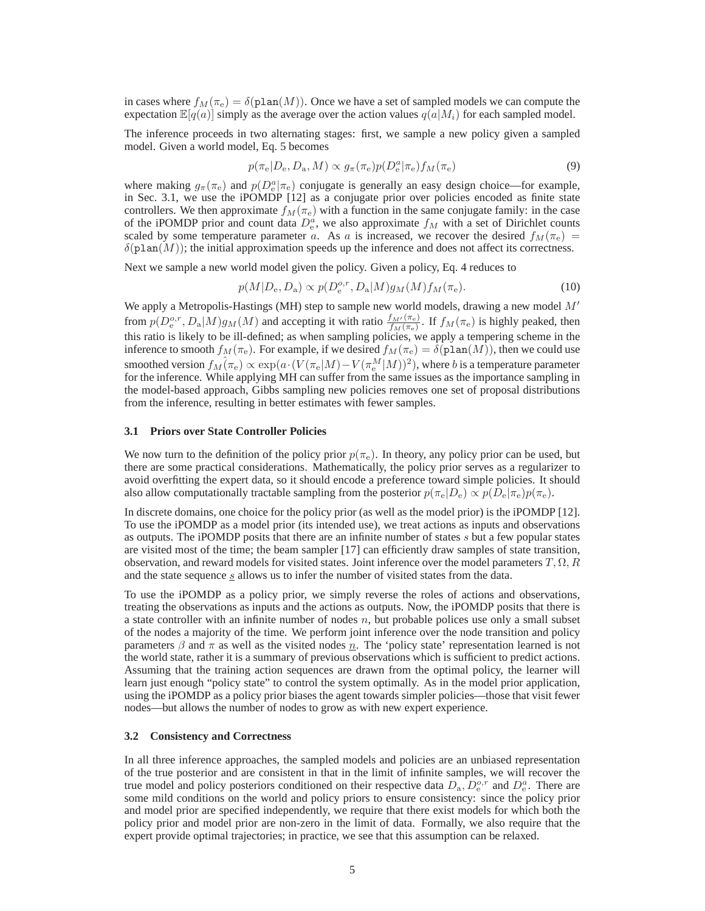in cases where  $f_M(\pi_e) = \delta(\text{plan}(M))$ . Once we have a set of sampled models we can compute the expectation  $\mathbb{E}[q(a)]$  simply as the average over the action values  $q(a|M_i)$  for each sampled model.

The inference proceeds in two alternating stages: first, we sample a new policy given a sampled model. Given a world model, Eq. 5 becomes

$$
p(\pi_{\rm e}|D_{\rm e}, D_{\rm a}, M) \propto g_{\pi}(\pi_{\rm e}) p(D_{\rm e}^a|\pi_{\rm e}) f_M(\pi_{\rm e})
$$
\n(9)

where making  $g_{\pi}(\pi_e)$  and  $p(D_e^a|\pi_e)$  conjugate is generally an easy design choice—for example, in Sec. 3.1, we use the iPOMDP [12] as a conjugate prior over policies encoded as finite state controllers. We then approximate  $f_M(\pi_e)$  with a function in the same conjugate family: in the case of the iPOMDP prior and count data  $D_e^a$ , we also approximate  $f_M$  with a set of Dirichlet counts scaled by some temperature parameter a. As a is increased, we recover the desired  $f_M(\pi_e)$  $\delta(\text{plan}(M))$ ; the initial approximation speeds up the inference and does not affect its correctness.

Next we sample a new world model given the policy. Given a policy, Eq. 4 reduces to

$$
p(M|D_e, D_a) \propto p(D_e^{o,r}, D_a|M)g_M(M)f_M(\pi_e). \tag{10}
$$

We apply a Metropolis-Hastings (MH) step to sample new world models, drawing a new model  $M'$ from  $p(D_e^{o,r}, D_a|M)g_M(M)$  and accepting it with ratio  $\frac{f_M(\pi_e)}{f_M(\pi_e)}$ . If  $f_M(\pi_e)$  is highly peaked, then this ratio is likely to be ill-defined; as when sampling policies, we apply a tempering scheme in the inference to smooth  $f_M(\pi_e)$ . For example, if we desired  $f_M(\pi_e) = \delta(\text{plan}(M))$ , then we could use smoothed version  $f_M(\pi_\mathrm{e}) \propto \exp(a\cdot (V(\pi_\mathrm{e}|M) - V(\pi_\mathrm{e}^M|M))^2),$  where  $b$  is a temperature parameter for the inference. While applying MH can suffer from the same issues as the importance sampling in the model-based approach, Gibbs sampling new policies removes one set of proposal distributions from the inference, resulting in better estimates with fewer samples.

#### **3.1 Priors over State Controller Policies**

We now turn to the definition of the policy prior  $p(\pi_e)$ . In theory, any policy prior can be used, but there are some practical considerations. Mathematically, the policy prior serves as a regularizer to avoid overfitting the expert data, so it should encode a preference toward simple policies. It should also allow computationally tractable sampling from the posterior  $p(\pi_e|D_e) \propto p(D_e|\pi_e)p(\pi_e)$ .

In discrete domains, one choice for the policy prior (as well as the model prior) is the iPOMDP [12]. To use the iPOMDP as a model prior (its intended use), we treat actions as inputs and observations as outputs. The iPOMDP posits that there are an infinite number of states s but a few popular states are visited most of the time; the beam sampler [17] can efficiently draw samples of state transition, observation, and reward models for visited states. Joint inference over the model parameters  $T, \Omega, R$ and the state sequence  $s$  allows us to infer the number of visited states from the data.

To use the iPOMDP as a policy prior, we simply reverse the roles of actions and observations, treating the observations as inputs and the actions as outputs. Now, the iPOMDP posits that there is a state controller with an infinite number of nodes  $n$ , but probable polices use only a small subset of the nodes a majority of the time. We perform joint inference over the node transition and policy parameters  $\beta$  and  $\pi$  as well as the visited nodes  $\underline{n}$ . The 'policy state' representation learned is not the world state, rather it is a summary of previous observations which is sufficient to predict actions. Assuming that the training action sequences are drawn from the optimal policy, the learner will learn just enough "policy state" to control the system optimally. As in the model prior application, using the iPOMDP as a policy prior biases the agent towards simpler policies—those that visit fewer nodes—but allows the number of nodes to grow as with new expert experience.

#### **3.2 Consistency and Correctness**

In all three inference approaches, the sampled models and policies are an unbiased representation of the true posterior and are consistent in that in the limit of infinite samples, we will recover the true model and policy posteriors conditioned on their respective data  $D_a$ ,  $D_e^{o,r}$  and  $D_e^a$ . There are some mild conditions on the world and policy priors to ensure consistency: since the policy prior and model prior are specified independently, we require that there exist models for which both the policy prior and model prior are non-zero in the limit of data. Formally, we also require that the expert provide optimal trajectories; in practice, we see that this assumption can be relaxed.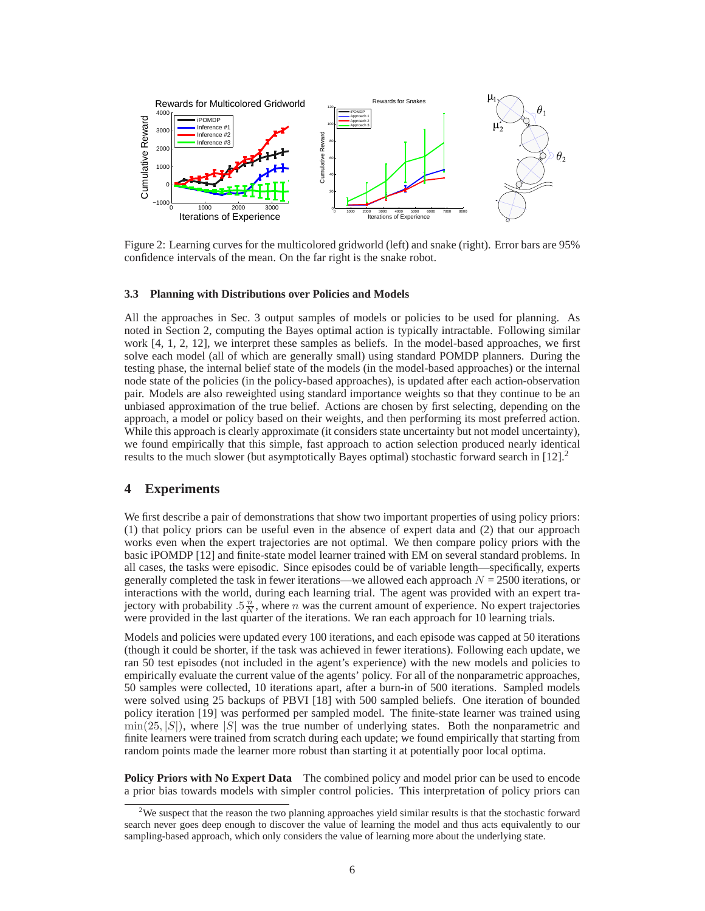

Figure 2: Learning curves for the multicolored gridworld (left) and snake (right). Error bars are 95% confidence intervals of the mean. On the far right is the snake robot.

#### **3.3 Planning with Distributions over Policies and Models**

All the approaches in Sec. 3 output samples of models or policies to be used for planning. As noted in Section 2, computing the Bayes optimal action is typically intractable. Following similar work [4, 1, 2, 12], we interpret these samples as beliefs. In the model-based approaches, we first solve each model (all of which are generally small) using standard POMDP planners. During the testing phase, the internal belief state of the models (in the model-based approaches) or the internal node state of the policies (in the policy-based approaches), is updated after each action-observation pair. Models are also reweighted using standard importance weights so that they continue to be an unbiased approximation of the true belief. Actions are chosen by first selecting, depending on the approach, a model or policy based on their weights, and then performing its most preferred action. While this approach is clearly approximate (it considers state uncertainty but not model uncertainty), we found empirically that this simple, fast approach to action selection produced nearly identical results to the much slower (but asymptotically Bayes optimal) stochastic forward search in  $[12]$ .<sup>2</sup>

## **4 Experiments**

We first describe a pair of demonstrations that show two important properties of using policy priors: (1) that policy priors can be useful even in the absence of expert data and (2) that our approach works even when the expert trajectories are not optimal. We then compare policy priors with the basic iPOMDP [12] and finite-state model learner trained with EM on several standard problems. In all cases, the tasks were episodic. Since episodes could be of variable length—specifically, experts generally completed the task in fewer iterations—we allowed each approach  $N = 2500$  iterations, or interactions with the world, during each learning trial. The agent was provided with an expert trajectory with probability  $.5\frac{n}{N}$ , where *n* was the current amount of experience. No expert trajectories were provided in the last quarter of the iterations. We ran each approach for 10 learning trials.

Models and policies were updated every 100 iterations, and each episode was capped at 50 iterations (though it could be shorter, if the task was achieved in fewer iterations). Following each update, we ran 50 test episodes (not included in the agent's experience) with the new models and policies to empirically evaluate the current value of the agents' policy. For all of the nonparametric approaches, 50 samples were collected, 10 iterations apart, after a burn-in of 500 iterations. Sampled models were solved using 25 backups of PBVI [18] with 500 sampled beliefs. One iteration of bounded policy iteration [19] was performed per sampled model. The finite-state learner was trained using  $\min(25, |S|)$ , where  $|S|$  was the true number of underlying states. Both the nonparametric and finite learners were trained from scratch during each update; we found empirically that starting from random points made the learner more robust than starting it at potentially poor local optima.

**Policy Priors with No Expert Data** The combined policy and model prior can be used to encode a prior bias towards models with simpler control policies. This interpretation of policy priors can

<sup>&</sup>lt;sup>2</sup>We suspect that the reason the two planning approaches yield similar results is that the stochastic forward search never goes deep enough to discover the value of learning the model and thus acts equivalently to our sampling-based approach, which only considers the value of learning more about the underlying state.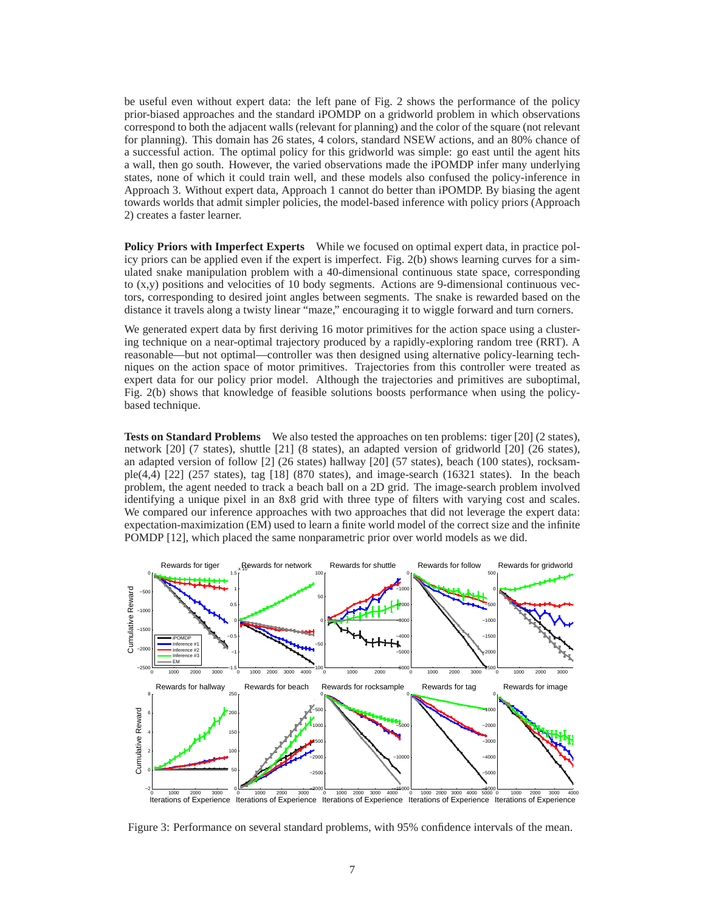be useful even without expert data: the left pane of Fig. 2 shows the performance of the policy prior-biased approaches and the standard iPOMDP on a gridworld problem in which observations correspond to both the adjacent walls (relevant for planning) and the color of the square (not relevant for planning). This domain has 26 states, 4 colors, standard NSEW actions, and an 80% chance of a successful action. The optimal policy for this gridworld was simple: go east until the agent hits a wall, then go south. However, the varied observations made the iPOMDP infer many underlying states, none of which it could train well, and these models also confused the policy-inference in Approach 3. Without expert data, Approach 1 cannot do better than iPOMDP. By biasing the agent towards worlds that admit simpler policies, the model-based inference with policy priors (Approach 2) creates a faster learner.

**Policy Priors with Imperfect Experts** While we focused on optimal expert data, in practice policy priors can be applied even if the expert is imperfect. Fig. 2(b) shows learning curves for a simulated snake manipulation problem with a 40-dimensional continuous state space, corresponding to (x,y) positions and velocities of 10 body segments. Actions are 9-dimensional continuous vectors, corresponding to desired joint angles between segments. The snake is rewarded based on the distance it travels along a twisty linear "maze," encouraging it to wiggle forward and turn corners.

We generated expert data by first deriving 16 motor primitives for the action space using a clustering technique on a near-optimal trajectory produced by a rapidly-exploring random tree (RRT). A reasonable—but not optimal—controller was then designed using alternative policy-learning techniques on the action space of motor primitives. Trajectories from this controller were treated as expert data for our policy prior model. Although the trajectories and primitives are suboptimal, Fig. 2(b) shows that knowledge of feasible solutions boosts performance when using the policybased technique.

**Tests on Standard Problems** We also tested the approaches on ten problems: tiger [20] (2 states), network [20] (7 states), shuttle [21] (8 states), an adapted version of gridworld [20] (26 states), an adapted version of follow [2] (26 states) hallway [20] (57 states), beach (100 states), rocksample(4,4)  $[22]$  (257 states), tag  $[18]$  (870 states), and image-search (16321 states). In the beach problem, the agent needed to track a beach ball on a 2D grid. The image-search problem involved identifying a unique pixel in an 8x8 grid with three type of filters with varying cost and scales. We compared our inference approaches with two approaches that did not leverage the expert data: expectation-maximization (EM) used to learn a finite world model of the correct size and the infinite POMDP [12], which placed the same nonparametric prior over world models as we did.



Figure 3: Performance on several standard problems, with 95% confidence intervals of the mean.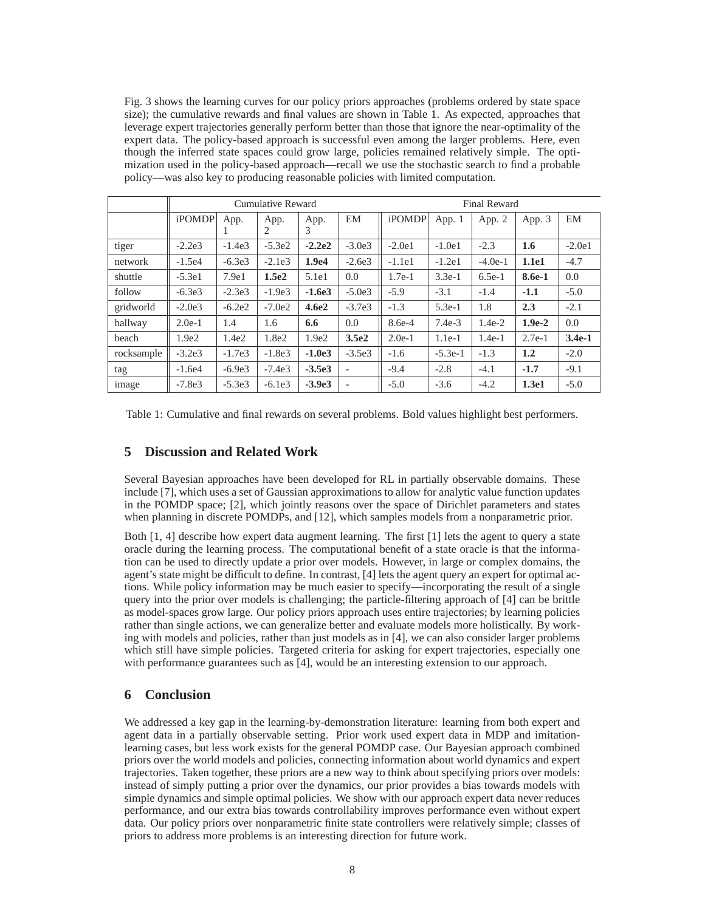Fig. 3 shows the learning curves for our policy priors approaches (problems ordered by state space size); the cumulative rewards and final values are shown in Table 1. As expected, approaches that leverage expert trajectories generally perform better than those that ignore the near-optimality of the expert data. The policy-based approach is successful even among the larger problems. Here, even though the inferred state spaces could grow large, policies remained relatively simple. The optimization used in the policy-based approach—recall we use the stochastic search to find a probable policy—was also key to producing reasonable policies with limited computation.

|              | Cumulative Reward |          |          |                   |                          | <b>Final Reward</b> |           |           |          |          |
|--------------|-------------------|----------|----------|-------------------|--------------------------|---------------------|-----------|-----------|----------|----------|
|              | <b>iPOMDP</b>     | App.     | App.     | App.              | EM                       | <i>iPOMDP</i>       | App. $1$  | App. 2    | App. 3   | EM       |
|              |                   | л.       | 2        | 3                 |                          |                     |           |           |          |          |
| tiger        | $-2.2e3$          | $-1.4e3$ | $-5.3e2$ | $-2.2e2$          | $-3.0e3$                 | $-2.0e1$            | $-1.0e1$  | $-2.3$    | 1.6      | $-2.0e1$ |
| network      | $-1.5e4$          | $-6.3e3$ | $-2.1e3$ | 1.9 <sub>e4</sub> | $-2.6e3$                 | $-1.1e1$            | $-1.2e1$  | $-4.0e-1$ | 1.1e1    | $-4.7$   |
| shuttle      | $-5.3e1$          | 7.9e1    | 1.5e2    | 5.1e1             | 0.0                      | $1.7e-1$            | $3.3e-1$  | $6.5e-1$  | 8.6e-1   | 0.0      |
| follow       | $-6.3e3$          | $-2.3e3$ | $-1.9e3$ | $-1.6e3$          | $-5.0e3$                 | $-5.9$              | $-3.1$    | $-1.4$    | $-1.1$   | $-5.0$   |
| gridworld    | $-2.0e3$          | $-6.2e2$ | $-7.0e2$ | 4.6e2             | $-3.7e3$                 | $-1.3$              | $5.3e-1$  | 1.8       | 2.3      | $-2.1$   |
| hallway      | $2.0e-1$          | 1.4      | 1.6      | 6.6               | 0.0                      | 8.6e-4              | $7.4e-3$  | $1.4e-2$  | $1.9e-2$ | 0.0      |
| <b>beach</b> | 1.9e2             | 1.4e2    | 1.8e2    | 1.9e2             | 3.5e2                    | $2.0e-1$            | $1.1e-1$  | $1.4e-1$  | $2.7e-1$ | $3.4e-1$ |
| rocksample   | $-3.2e3$          | $-1.7e3$ | $-1.8e3$ | $-1.0e3$          | $-3.5e3$                 | $-1.6$              | $-5.3e-1$ | $-1.3$    | 1.2      | $-2.0$   |
| tag          | $-1.6e4$          | $-6.9e3$ | $-7.4e3$ | $-3.5e3$          | $\overline{\phantom{a}}$ | $-9.4$              | $-2.8$    | $-4.1$    | $-1.7$   | $-9.1$   |
| image        | $-7.8e3$          | $-5.3e3$ | $-6.1e3$ | $-3.9e3$          | ٠                        | $-5.0$              | $-3.6$    | $-4.2$    | 1.3e1    | $-5.0$   |

Table 1: Cumulative and final rewards on several problems. Bold values highlight best performers.

# **5 Discussion and Related Work**

Several Bayesian approaches have been developed for RL in partially observable domains. These include [7], which uses a set of Gaussian approximations to allow for analytic value function updates in the POMDP space; [2], which jointly reasons over the space of Dirichlet parameters and states when planning in discrete POMDPs, and [12], which samples models from a nonparametric prior.

Both [1, 4] describe how expert data augment learning. The first [1] lets the agent to query a state oracle during the learning process. The computational benefit of a state oracle is that the information can be used to directly update a prior over models. However, in large or complex domains, the agent's state might be difficult to define. In contrast, [4] lets the agent query an expert for optimal actions. While policy information may be much easier to specify—incorporating the result of a single query into the prior over models is challenging; the particle-filtering approach of [4] can be brittle as model-spaces grow large. Our policy priors approach uses entire trajectories; by learning policies rather than single actions, we can generalize better and evaluate models more holistically. By working with models and policies, rather than just models as in [4], we can also consider larger problems which still have simple policies. Targeted criteria for asking for expert trajectories, especially one with performance guarantees such as [4], would be an interesting extension to our approach.

# **6 Conclusion**

We addressed a key gap in the learning-by-demonstration literature: learning from both expert and agent data in a partially observable setting. Prior work used expert data in MDP and imitationlearning cases, but less work exists for the general POMDP case. Our Bayesian approach combined priors over the world models and policies, connecting information about world dynamics and expert trajectories. Taken together, these priors are a new way to think about specifying priors over models: instead of simply putting a prior over the dynamics, our prior provides a bias towards models with simple dynamics and simple optimal policies. We show with our approach expert data never reduces performance, and our extra bias towards controllability improves performance even without expert data. Our policy priors over nonparametric finite state controllers were relatively simple; classes of priors to address more problems is an interesting direction for future work.